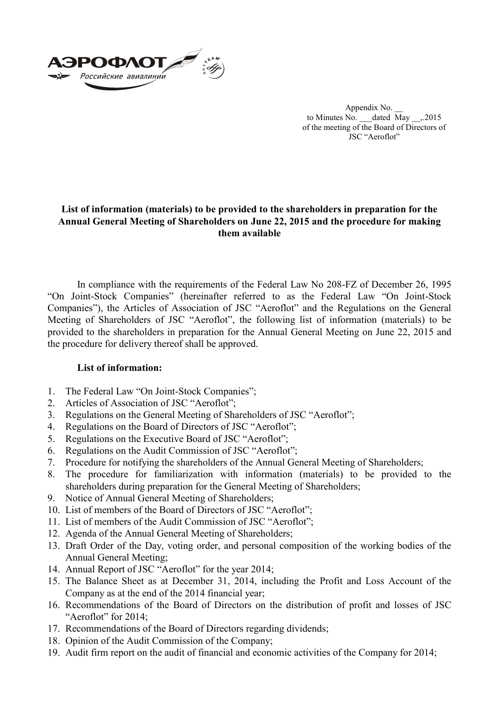

Appendix No. \_\_ to Minutes No. \_\_\_dated  $\overline{M}$ ay \_\_\_,.2015 of the meeting of the Board of Directors of JSC "Aeroflot"

## **List of information (materials) to be provided to the shareholders in preparation for the Annual General Meeting of Shareholders on June 22, 2015 and the procedure for making them available**

In compliance with the requirements of the Federal Law No 208-FZ of December 26, 1995 "On Joint-Stock Companies" (hereinafter referred to as the Federal Law "On Joint-Stock Companies"), the Articles of Association of JSC "Aeroflot" and the Regulations on the General Meeting of Shareholders of JSC "Aeroflot", the following list of information (materials) to be provided to the shareholders in preparation for the Annual General Meeting on June 22, 2015 and the procedure for delivery thereof shall be approved.

## **List of information:**

- 1. The Federal Law "On Joint-Stock Companies";
- 2. Articles of Association of JSC "Aeroflot";
- 3. Regulations on the General Meeting of Shareholders of JSC "Aeroflot";
- 4. Regulations on the Board of Directors of JSC "Aeroflot";
- 5. Regulations on the Executive Board of JSC "Aeroflot";
- 6. Regulations on the Audit Commission of JSC "Aeroflot";
- 7. Procedure for notifying the shareholders of the Annual General Meeting of Shareholders;
- 8. The procedure for familiarization with information (materials) to be provided to the shareholders during preparation for the General Meeting of Shareholders;
- 9. Notice of Annual General Meeting of Shareholders;
- 10. List of members of the Board of Directors of JSC "Aeroflot";
- 11. List of members of the Audit Commission of JSC "Aeroflot";
- 12. Agenda of the Annual General Meeting of Shareholders;
- 13. Draft Order of the Day, voting order, and personal composition of the working bodies of the Annual General Meeting;
- 14. Annual Report of JSC "Aeroflot" for the year 2014;
- 15. The Balance Sheet as at December 31, 2014, including the Profit and Loss Account of the Company as at the end of the 2014 financial year;
- 16. Recommendations of the Board of Directors on the distribution of profit and losses of JSC "Aeroflot" for 2014;
- 17. Recommendations of the Board of Directors regarding dividends;
- 18. Opinion of the Audit Commission of the Company;
- 19. Audit firm report on the audit of financial and economic activities of the Company for 2014;